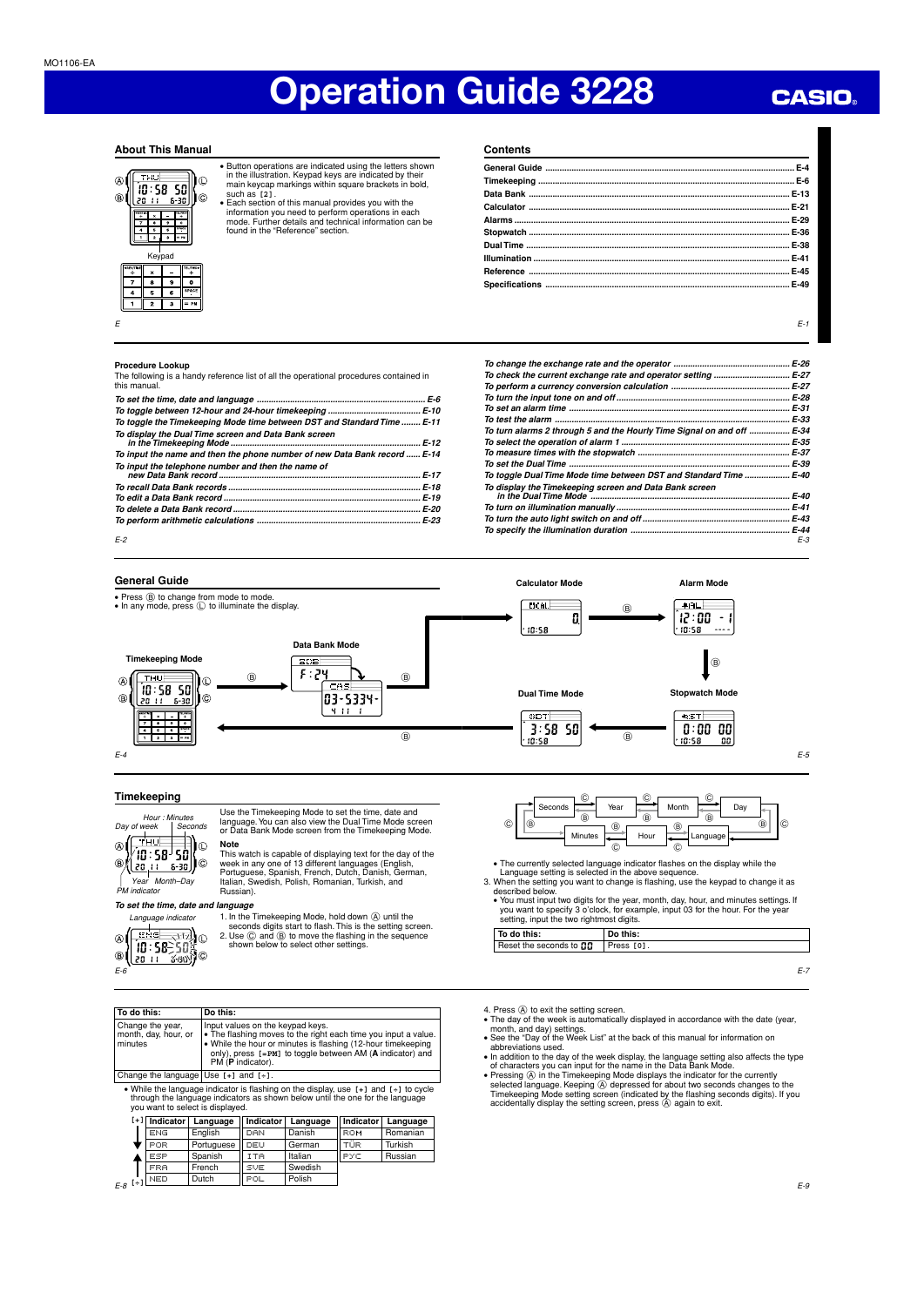## **CASIO**

## **About This Manual**



• Button operations are indicated using the letters shown in the illustration. Keypad keys are indicated by their main keycap markings within square brackets in bold,

such as [2].<br>• Each section of this manual provides you with the<br>information you need to perform operations in each<br>mode. Further details and technical information can be<br>found in the "Reference" section.

**Contents**

## **Procedure Lookup**

The following is a handy reference list of all the operational procedures contained in this manual.

| To toggle the Timekeeping Mode time between DST and Standard Time  E-11   |  |
|---------------------------------------------------------------------------|--|
| To display the Dual Time screen and Data Bank screen                      |  |
| To input the name and then the phone number of new Data Bank record  E-14 |  |
| To input the telephone number and then the name of                        |  |
|                                                                           |  |
|                                                                           |  |
|                                                                           |  |
|                                                                           |  |
|                                                                           |  |

E-3 **To change the exchange rate and the operator ................................................. E-26 To check the current exchange rate and operator setting ................................ E-27 To perform a currency conversion calculation .................................................. E-27 To turn the input tone on and off ......................................................................... E-28 To set an alarm time** ... **To test the alarm ................................................................................................... E-33 To turn alarms 2 through 5 and the Hourly Time Signal on and off ................. E-34 To select the operation of alarm 1 ....................................................................... E-35 To measure times with the stopwatch ................................................................ E-37 To set the Dual Time ............................................................................................. E-39 To toggle Dual Time Mode time between DST and Standard Time ................... E-40 To display the Timekeeping screen and Data Bank screen in the Dual Time Mode .................................................................................... E-40 To turn on illumination manually ......................................................................... E-41 To turn the auto light switch on and off .............................................................. E-43 To specify the illumination duration ................................................................... E-44**

## **General Guide**

E-2



E-4

## **Timekeeping**



Use the Timekeeping Mode to set the time, date and language. You can also view the Dual Time Mode screen or Data Bank Mode screen from the Timekeeping Mode. **Note**

This watch is capable of displaying text for the day of the week in any one of 13 different languages (English, Portuguese, Spanish, French, Dutch, Danish, German, Italian, Swedish, Polish, Romanian, Turkish, and Russian)

## **To set the time, date and language**



1. In the Timekeeping Mode, hold down  $\circledA$  until the seconds digits start to flash. This is the setting screen.<br>2. Use  $\circledB$  and  $\circledB$  to move the flashing in the sequence shown below to select other settings.

| To do this: |                                                                                                                                                                                                              | Do this:                                  |                   |                                                                                                                                                               |           |                                                                |  |  |  |  |  |
|-------------|--------------------------------------------------------------------------------------------------------------------------------------------------------------------------------------------------------------|-------------------------------------------|-------------------|---------------------------------------------------------------------------------------------------------------------------------------------------------------|-----------|----------------------------------------------------------------|--|--|--|--|--|
| minutes     | Change the year,<br>month, day, hour, or                                                                                                                                                                     |                                           | PM (P indicator). | Input values on the keypad keys.<br>. While the hour or minutes is flashing (12-hour timekeeping<br>only), press [=PM] to toggle between AM (A indicator) and |           | • The flashing moves to the right each time you input a value. |  |  |  |  |  |
|             |                                                                                                                                                                                                              | Change the language Use $[+]$ and $[+]$ . |                   |                                                                                                                                                               |           |                                                                |  |  |  |  |  |
|             | • While the language indicator is flashing on the display, use $[+]$ and $[+]$ to cycle<br>through the language indicators as shown below until the one for the language<br>you want to select is displayed. |                                           |                   |                                                                                                                                                               |           |                                                                |  |  |  |  |  |
| $[+1]$      | Indicator                                                                                                                                                                                                    | Language                                  | Indicator         | Language                                                                                                                                                      | Indicator | Language                                                       |  |  |  |  |  |
|             | -----                                                                                                                                                                                                        | - - -<br>- -<br>- - - -<br>---            |                   |                                                                                                                                                               |           |                                                                |  |  |  |  |  |

| <b>III</b> uitatui | Lanuuauc   | muruun | Language | ו וועונים וו           |          |
|--------------------|------------|--------|----------|------------------------|----------|
| ENG                | Enalish    | DAN    | Danish   | <b>ROM</b>             | Romanian |
| l POR.             | Portuguese | DEU    | German   | $\cdots$<br><b>TUR</b> | Turkish  |
| ESP                | Spanish    | ITA    | Italian  | <b>PYC</b>             | Russian  |
| <b>FRA</b>         | French     | SVE    | Swedish  |                        |          |
| $_{[+]}$ NED       | Dutch      | ' POL. | Polish   |                        |          |
|                    |            |        |          |                        |          |

 $E-8$  [+1]

Reset the seconds to **00** | Press [0].

**To do this:**

- 4. Press  $\overline{(\lambda)}$  to exit the setting screen.<br>
 The day of the week is automatically displayed in accordance with the date (year,<br>
 See the "Day of the Week List" at the back of this manual for information on<br>
 See the
- 

• The currently selected language indicator flashes on the display while the Language setting is selected in the above sequence. 3. When the setting you want to change is flashing, use the keypad to change it as described below. • You must input two digits for the year, month, day, hour, and minutes settings. If you want to specify 3 o'clock, for example, input 03 for the hour. For the year setting, input the two rightmost digits.

Seconds Year Month B Day Minutes  $H_{\text{our}}$  Hour  $H_{\text{Lanquag}}$ 

 $\circ$   $\circ$   $\circ$   $\circ$   $\circ$   $\circ$  $\circledcirc$  B  $\longrightarrow$  8  $\circledcirc$  B  $\circ$   $\sim$   $\circ$  $\circ$ ll $\circ$   $\sim$  a  $\sim$  a  $\sim$  B

**Do this:**

- 
- In addition to the day of the week display, the language setting also affects the type of characters you can input for the name in the Data Bank Mode. Pressing  $\hat{\omega}$  in the Timekeeping Mode displays the indicator fo

E-7

E-5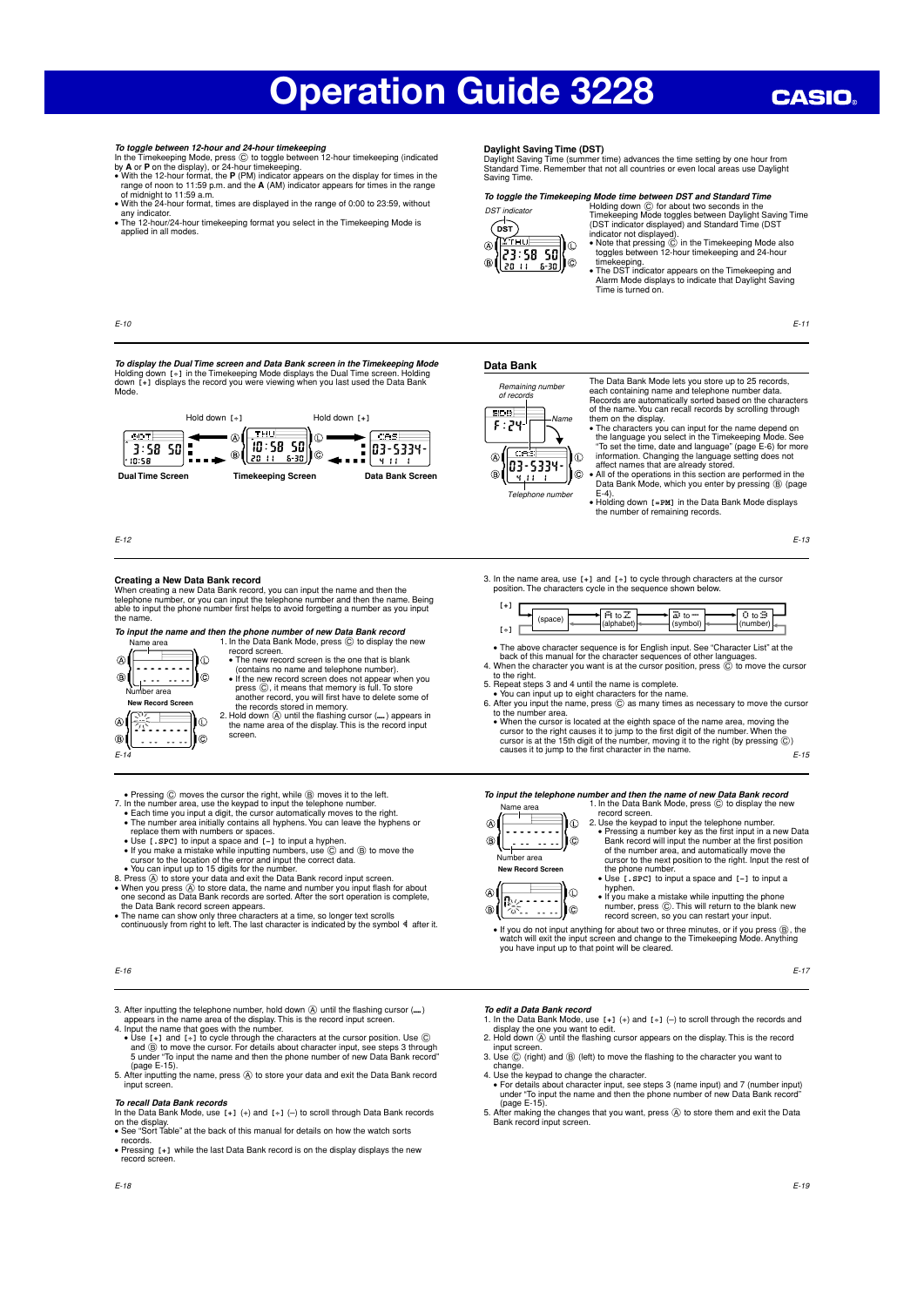## **CASIO**

- To toggle between 12-hour and 24-hour time<br>keeping (block) to the Timekeeping (block), press ( $\odot$  to toggle between 12-hour time<br>keeping (block), press ( $\odot$  to toggle between 12-hour time<br>keeping (ndicated by A or P o
- 

T**o display the Dual Time screen and Data Bank screen in the Timekeeping Mode**<br>Holding down [<sub>+]</sub> in the Timekeeping Mode displays the Dual Time screen. Holding<br>down [+] displays the record you were viewing when you last

Hold down **[÷]** Hold down **[+]**

١o٠

١c

 $6 - 30$ 

-⊛∬ **THU** 

 $\overline{B}$ 

**Dual Time Screen Timekeeping Screen Data Bank Screen**

 $10:58$ -50

ll 20-t t

applied in all modes.

## **Daylight Saving Time (DST)**

Daylight Saving Time (summer time) advances the time setting by one hour from Standard Time. Remember that not all countries or even local areas use Daylight Saving Time.



To toggle the Timekeeping Mode time between DST and Standard Time<br>
DST indicator<br>
Timekeeping Mode toggles between Daylight Saving Time<br>
(DST indicator displayed) and Standard Time (DST<br>
(DST indicator not displayed).<br>
(CS

timekeeping. • The DST indicator appears on the Timekeeping and Alarm Mode displays to indicate that Daylight Saving Time is turned on.

E-11

## **Data Bank**



Telephone number

The Data Bank Mode lets you store up to 25 records, each containing name and telephone number data. Records are automatically sorted based on the characters of the name. You can recall records by scrolling through them on the display. • The characters you can input for the name depend on

the language you select in the Timekeeping Mode. See<br>"To set the time, date and language" (page E-6) for more<br>information. Changing the language setting does not<br>affect names that are already stored.<br> $\bullet$  All of the operat

E-4).

• Holding down **[=PM]** in the Data Bank Mode displays the number of remaining records.

E-13

### **Creating a New Data Bank record**

E-10

E-12

 $6DT$ 

 $3:58$  50

When creating a new Data Bank record, you can input the name and then the<br>telephone number, or you can input the telephone number and then the name. Being<br>able to input the phone number first helps to avoid forgetting a nu the name.

## **To input the name and then the phone number of new Data Bank record**<br>Name area 1. In the Data Bank Mode, press © to display the new



record screen. • The new record screen is the one that is blank<br>• (contains no name and telephone number).<br>• If the new record screen does not appear when you<br>press  $\circledcirc$ , it means that memory is full. To store<br>another record, you will the records stored in memory. 2. Hold down  $\textcircled{A}$  until the flashing cursor (....) appears in the name area of the display. This is the record input

 $CHS$ 

 $03 - 5334 -$ 

- screen.
- 
- 
- Pressing  $\textcircled{C}$  moves the cursor the right, while  $\textcircled{B}$  moves it to the left.<br>7. In the number area, use the keypad to input the telephone number.<br>• Each time you input a digit, the cursor automatically moves to
- 
- 
- 
- If you make a mistake while inputting numbers, use  $\circledcirc$  and  $\circledcirc$  to move the cursor to the location of the error and input the correct data.<br>• You can input up to 15 digits for the number.<br>8. Press  $\circledcirc$  to store y
- the Data Bank record screen appears.<br>● The name can show only three characters at a time, so longer text scrolls<br>© continuously from right to left. The last character is indicated by the symbol Nater it.

- 3. After inputting the telephone number, hold down  $\overline{\varphi}$  until the flashing cursor (....)
- appears in the name area of the display. This is the record input screen.<br>4. Input the name that goes with the number.<br>4. Input the name that goes with the number.<br>• Use  $[+]$  and  $[+]$  to cycle through the characters at
- (page E-15). 5. After inputting the name, press A to store your data and exit the Data Bank record input screen.

### **To recall Data Bank records**

- In the Data Bank Mode, use **[+]** (+) and **[÷]** (–) to scroll through Data Bank records on the display. • See "Sort Table" at the back of this manual for details on how the watch sorts
- 
- records.<br>• Pressing [+] while the last Data Bank record is on the display displays the new<br>record screen.

- **To edit a Data Bank record**<br>1. In the Data Bank Mode, use [+] (+) and [+] (-) to scroll through the records and<br>display the one you want to edit. 2. Hold down (A) until the flashing cursor appears on the display. This is the record
- 
- input screen. 3. Use C (right) and B (left) to move the flashing to the character you want to change.
- age.<br>the keypad to change the character.
- For details about character input, see steps 3 (name input) and 7 (number input) under "To input the name and then the phone number of new Data Bank record" (page E-15)<br>5 After making
- 5. After making the changes that you want, press (A) to store them and exit the Data Bank record input screen.

E-17

## 3. In the name area, use **[+]** and **[÷]** to cycle through characters at the cursor position. The characters cycle in the sequence shown below.

|                      |      | <br>---<br>----<br>ιο<br> | w<br>ື |
|----------------------|------|---------------------------|--------|
| $\sim$<br>$t +$<br>÷ | ləva |                           |        |

- 
- The above character sequence is for English input. See "Character List" at the back of this manual for the character sequences of other languages.<br>4. When the character you want is at the cursor position, press  $\copyright$  to m
- 
- 6. After you input the name, press C as many times as necessary to move the cursor to the number area.
- E-15 • When the cursor is located at the eighth space of the name area, moving the cursor to the right causes it to jump to the first digit of the number. When the cursor is at the 15th digit of the number, moving it to the ri

**To input the telephone number and then the name of new Data Bank record** 1. In the Data Bank Mode, press © to display the new Name area

 $\overline{A}$ :∬©  $\hat{a}$ Number area **New Record Scr** 

record screen. 2. Use the keypad to input the telephone number. • Pressing a number key as the first input in a new Data Bank record will input the number at the first position of the number area, and automatically move the cursor to the next position to the right. Input the rest of the phone number.<br>• Use [.spc] to input a space and [-] to input a<br>hyphen.<br>• If you make a mistake while inputting the phone<br>number, press ©. This will return to the blank new

• If you do not input anything for about two or three minutes, or if you press B, the watch will exit the input screen and change to the Timekeeping Mode. Anything you have input up to that point will be cleared.

record screen, so you can restart your input.



E-16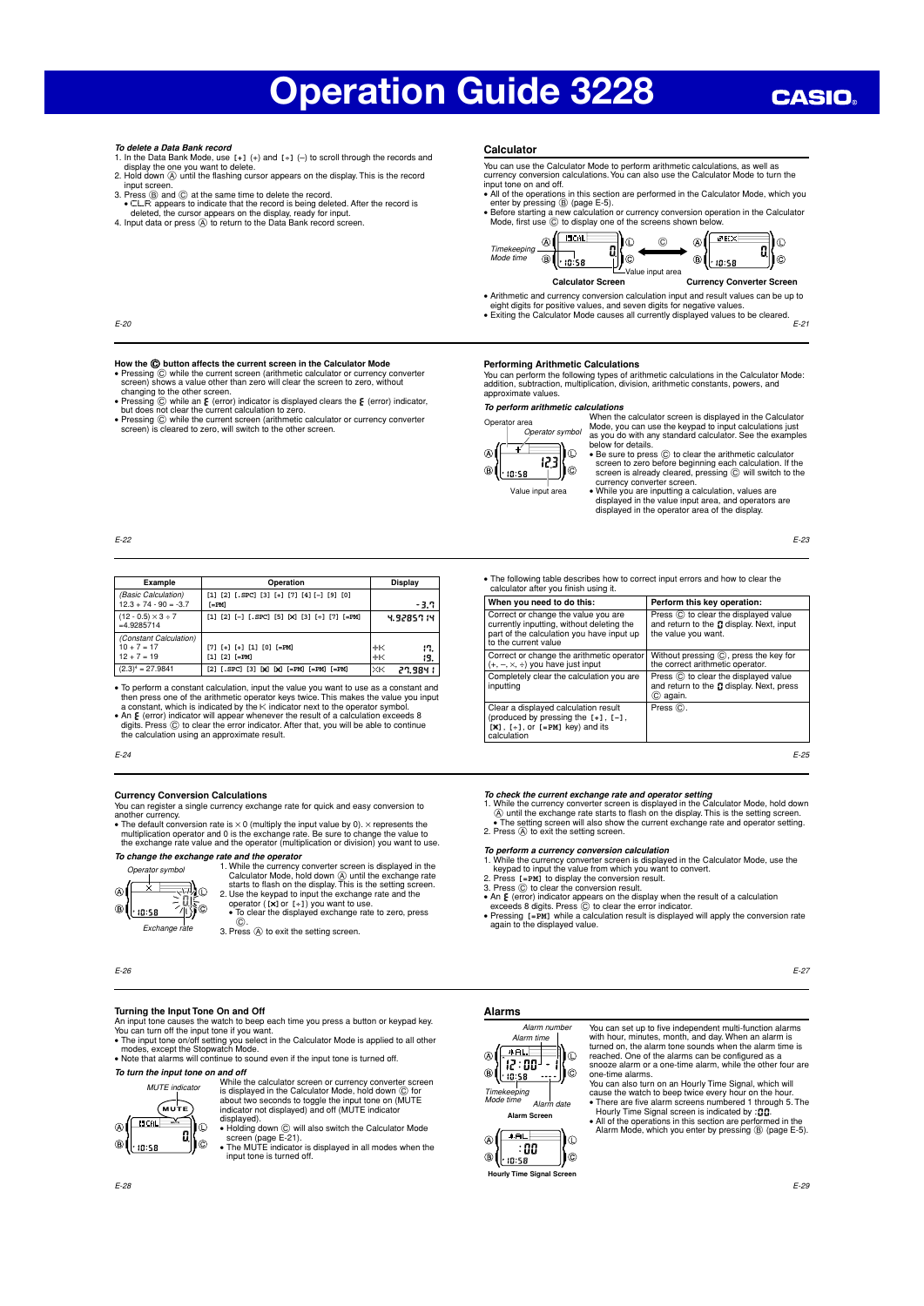- **To delete a Data Bank record** 1. In the Data Bank Mode, use **[+]** (+) and **[÷]** (–) to scroll through the records and display the one you want to delete.
- 2. Hold down A until the flashing cursor appears on the display. This is the record input screen. 3. Press B and C at the same time to delete the record.
- 
- CLR appears to indicate that the record is being deleted. After the record is<br>deleted, the cursor appears on the display, ready for input.<br>4. Input data or press  $\hat{\otimes}$  to return to the Data Bank record screen.

## **Calculator**

- You can use the Calculator Mode to perform arithmetic calculations, as well as currency conversion calculations. You can also use the Calculator Mode to turn the input tone on and off. • All of the operations in this section are performed in the Calculator Mode, which you
- enter by pressing ⑧ (page E-5).<br>● Before starting a new calculation or currency conversion operation in the Calculator<br>Mode, first use ⓒ to display one of the screens shown below.





- Arithmetic and currency conversion calculation input and result values can be up to
- eight digits for positive values, and seven digits for negative values. Exiting the Calculator Mode causes all currently displayed values to be cleared.
	- E-21

### E-20

E-22

- How the **ⓒ button affects the current screen in the Calculator Mode**<br>• Pressing ⓒ while the current screen (arithmetic calculator or currency converter<br>• screen) shows a value other than zero will clear the screen to zero, changing to the other screen.
- Pressing  $\odot$  while an E (error) indicator is displayed clears the E (error) indicator,<br>but does not clear the current calculation to zero.
- but does not clear the current calculation to zero. Pressing C while the current screen (arithmetic calculator or currency converter screen) is cleared to zero, will switch to the other screen.

## **Performing Arithmetic Calculations**<br>You can perform the following types of arithmetic calculations in the Calculator Mode:<br>addition, subtraction, multiplication, division, arithmetic constants, powers, and approximate values.

**To perform arithmetic calculations** Ope



- When the calculator screen is displayed in the Calculator Mode, you can use the keypad to input calculations just as you do with any standard calculator. See the examples below for details. • Be sure to press C to clear the arithmetic calculator
- - screen to zero before beginning each calculation. If the<br>screen is already cleared, pressing  $\copyright$  will switch to the<br>currency converter screen.<br>• While you are inputting a calculation, values are<br>displayed in the value inp

E-23

| Example                                                  | Operation                                             | Display                    |
|----------------------------------------------------------|-------------------------------------------------------|----------------------------|
| (Basic Calculation)<br>$12.3 + 74 - 90 = -3.7$           | [1] [2] [.SPC] [3] [+] [7] [4] [-] [9] [0]<br>$[-PM]$ | -3.7                       |
| $(12 - 0.5) \times 3 \div 7$<br>$=4.9285714$             | [1] [2] [-] [.SPC] [5] [X] [3] [+] [7] [=PM]          | 4.92857.14                 |
| (Constant Calculation)<br>$10 + 7 = 17$<br>$12 + 7 = 19$ | [7] [+] [+] [1] [0] [=PM]<br>$[1]$ $[2]$ $[-PM]$      | $+<$<br>17.<br>$+<$<br>19. |
| $(2.3)^4 = 27.9841$                                      | $[2]$ [.SPC] [3] [X] [X] [=PM] [=PM] [=PM]            | lжĸ<br>27.984 I            |

• To perform a constant calculation, input the value you want to use as a constant and<br>then press one of the arithmetic operator keys twice. This makes the value you input<br>a constant, which is indicated by the K: indicato

- An E (error) indicator will appear whenever the result of a calculation exceeds 8<br>digits. Press © to clear the error indicator. After that, you will be able to continue digits. Press  $\copyright$  to clear the error indicator.<br>the calculation using an approximate result.
- E-24

## **Currency Conversion Calculations**

You can register a single currency exchange rate for quick and easy conversion to

another currency.<br>• The default conversion rate is  $\times$  0 (multiply the input value by 0).  $\times$  represents the<br>• multiplication operator and 0 is the exchange rate. Be sure to change the value to<br>• the exchange rate value

**To change the exchange rate and the operator**



1. While the currency converter screen is displayed in the Calculator Mode, hold down  $\overline{\omega}$  until the exchange rate starts to flash on the display. This is the setting screen.<br>2. Use the keypad to input the exchange ra operator (**[**×**]**or **[÷]**) you want to use. • To clear the displayed exchange rate to zero, press

C. 3. Press A to exit the setting screen.

E-26

## **Turning the Input Tone On and Off**

An input tone causes the watch to beep each time you press a button or keypad key.<br>You can turn off the input tone if you want.<br>• The input tone on/off setting you select in the Calculator Mode is applied to all other<br>• mo

**To turn the input tone on and off**



While the calculator screen or currency converter screen<br>is displayed in the Calculator Mode, hold down  $\copyright$  for<br>about two seconds to toggle the input tone on (MUTE<br>indicator not displayed) and off (MUTE indicator displayed).<br>• Holding down ⓒ will also switch the Calculator Mode<br>• Screen (page E-21).<br>• The MUTE indicator is displayed in all modes when the

input tone is turned off.

## **Alarms**



with hour, minutes, month, and day. When an alarm is turned on, the alarm tone sounds when the alarm time is reached. One of the alarms can be configured as a<br>snooze alarm or a one-time alarm, while the other four are<br>one-time alarms.<br>You can also turn on an Hourly Time Signal, which will<br>cause the watch to beep twice every hour

You can set up to five independent multi-function alarms

Hourly Time Signal screen is indicated by : **00.**<br>• All of the operations in this section are performed in the<br>Alarm Mode, which you enter by pressing ® (page E-5).

• The following table describes how to correct input errors and how to clear the calculator after you finish using it.

| calculator after you finish using it.                                                                                                                 |                                                                                                           |
|-------------------------------------------------------------------------------------------------------------------------------------------------------|-----------------------------------------------------------------------------------------------------------|
| When you need to do this:                                                                                                                             | Perform this key operation:                                                                               |
| Correct or change the value you are<br>currently inputting, without deleting the<br>part of the calculation you have input up<br>to the current value | Press (C) to clear the displayed value<br>and return to the L display. Next, input<br>the value you want. |
| Correct or change the arithmetic operator<br>$(+, -, \times, \div)$ you have just input                                                               | Without pressing C, press the key for<br>the correct arithmetic operator.                                 |
| Completely clear the calculation you are<br>inputting                                                                                                 | Press (C) to clear the displayed value<br>and return to the D display. Next, press<br>C) again.           |
| Clear a displayed calculation result<br>(produced by pressing the $[+]$ , $[-]$ ,<br>$[x]$ , $[+]$ , or $[=PM]$ key) and its<br>calculation           | Press (C).                                                                                                |

E-25

To check the current exchange rate and operator setting<br>1. While the currency converter screen is displayed in the Calculator Mode, hold down<br>
( $\&$ ) until the exchange rate starts to flash on the display. This is the set

To perform a currency converter screen is displayed in the Calculator Mode, use the 1. While the currency converter screen is displayed in the Calculator Mode, use the Ryeyad to input the value from which you want to conv

- 
- 
- Pressing **[=PM]** while a calculation result is displayed will apply the conversion rate again to the displayed value.

 $\begin{pmatrix} 1 & 0 & 0 \\ 0 & 0 & 0 \\ 0 & 0 & 0 \\ 0 & 0 & 0 \\ 0 & 0 & 0 \\ 0 & 0 & 0 \\ 0 & 0 & 0 \\ 0 & 0 & 0 \\ 0 & 0 & 0 \\ 0 & 0 & 0 \\ 0 & 0 & 0 \\ 0 & 0 & 0 \\ 0 & 0 & 0 \\ 0 & 0 & 0 \\ 0 & 0 & 0 \\ 0 & 0 & 0 \\ 0 & 0 & 0 \\ 0 & 0 & 0 \\ 0 & 0 & 0 & 0 \\ 0 & 0 & 0 & 0 \\ 0 & 0 & 0 & 0 \\ 0 & 0 & 0 & 0 \\ 0 &$ 



**Hourly Time Signal Screen**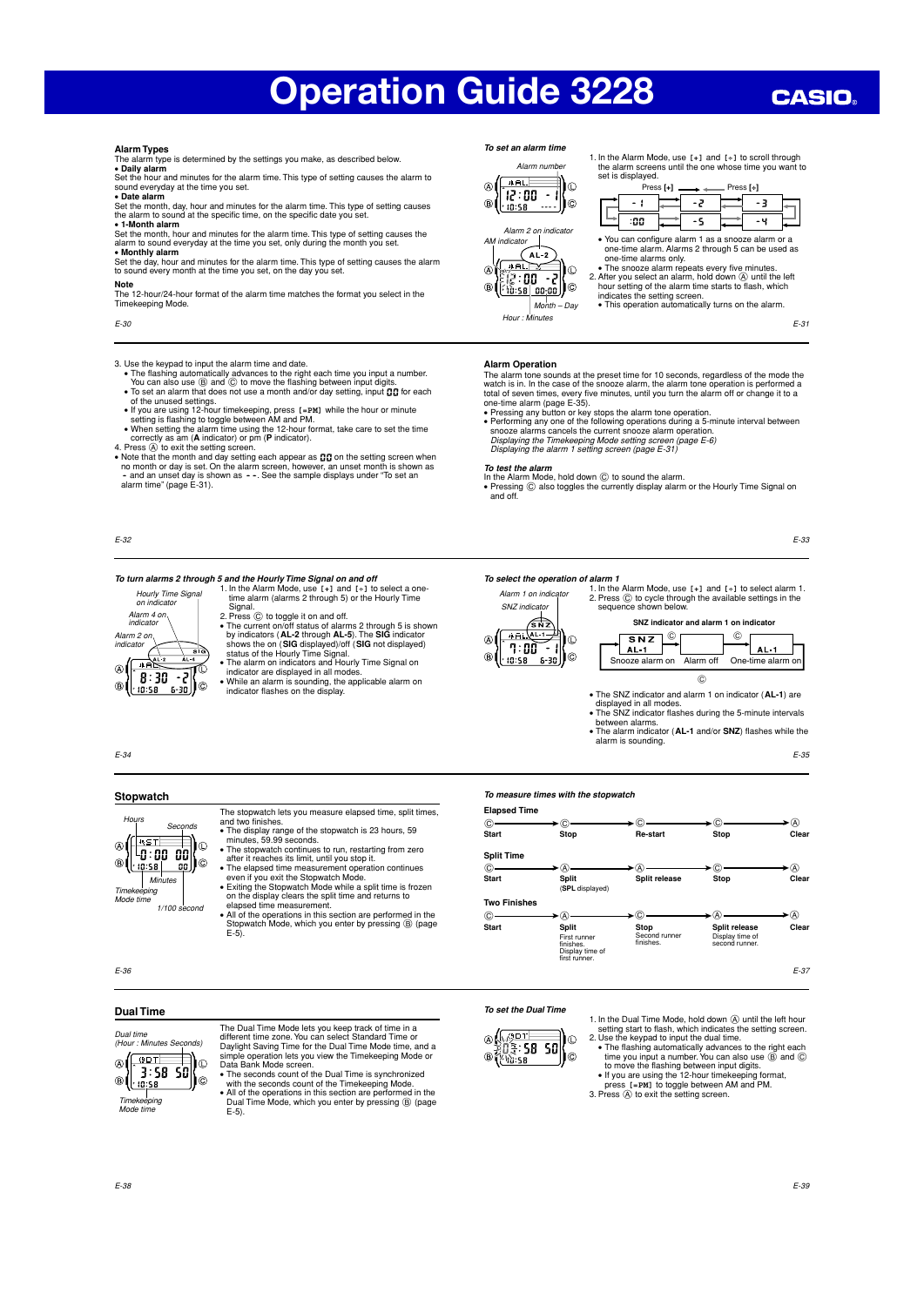## **CASIO**

**Alarm Types**

The alarm type is determined by the settings you make, as described below.<br>**• Daily alarm**<br>Set the hour and minutes for the alarm time. This type of setting causes the alarm to<br>sound everyday at the time you set.

• **Date alarm** Set the month, day, hour and minutes for the alarm time. This type of setting causes the alarm to sound at the specific time, on the specific date you

• **1-Month alarm** Set the month, hour and minutes for the alarm time. This type of setting causes the alarm to sound everyday at the time you set, only during the month you set. • **Monthly alarm**

Set the day, hour and minutes for the alarm time. This type of setting causes the alarm to sound every month at the time you set, on the day you set.

**Note**

The 12-hour/24-hour format of the alarm time matches the format you select in the<br>Timekeeping Mode اטו ו-⊷⊾יייטי.<br>Eping Mode

E-30

- 3. Use the keypad to input the alarm time and date.<br>• The flashing automatically advances to the right each time you input a number.<br>You can also use ( $\overline{B}$ ) and ( $\overline{O}$ ) to move the flashing between input digits.<br>•
	-
	-
- 

of the unused settings.<br>If you are using 12-hour timekeeping, press  $[.-pM]$  while the hour or minute<br>setting is flashing to toggle between AM and PM.<br>We need the altern time using the 12-hour format, take care to set the

E-32

- **To turn alarms 2 through 5 and the Hourly Time Signal on and off<br>**  $\frac{1}{\text{1.1}}$  **the Alarm Mode, use <b>[+]** and **[+]** to select a one-<br>  $\frac{1}{\text{1.1}}$  time alarm (alarms 2 through 5) or the Hourly Time time alarm (alarms 2 through 5) or the Hourly Time
- Alarm 4 on indicator Alarm 2 on indicator  $\circledR$ -2  $8:30$  $\overline{B}$ Ē  $10:58$

on indicator

- Signal.<br>2. Press © to toggle it on and off.<br>• The current on/off status of alarms 2 through 5 is shown<br>by indicators (**AL-2** through **AL-5**). The **SIG** indicator<br>shows the on (**SIG** displayed)/off (**SIG** not displayed)<br>sta • The alarm on indicators and Hourly Time Signal on
- indicator are displayed in all modes. While an alarm is sounding, the applicable alarm on indicator flashes on the display.
- 

## **To set an alarm time**



1. In the Alarm Mode, use **[+]** and **[÷]** to scroll through the alarm screens until the one whose time you want to set is displayed.



## **Alarm Operation**

The alarm tone sounds at the preset time for 10 seconds, regardless of the mode the watch is in. In the case of the snooze alarm, the alarm tone operation is performed a

- 
- total of seven times, every five minutes, until you turn the alarm off or change it to a<br>one-time alarm (page E-35).<br>• Pressing any button or key stops the alarm tone operation.<br>• Preforming any one of the following opera
- 

## **To test the alarm**

In the Alarm Mode, hold down © to sound the alarm.<br>• Pressing © also toggles the currently display alarm or the Hourly Time Signal or and off.

E-33

## **To select the operation of alarm 1**

1. In the Alarm Mode, use **[+]** and **[÷]** to select alarm 1.  $S$ NZ indicator  $\begin{bmatrix} 2. & P$  ress  $\odot$  to cycle through the available settings in the sequence shown below. Alarm 1 on indicator





• The SNZ indicator and alarm 1 on indicator (**AL-1**) are  $\overline{c}$ 

- 
- displayed in all modes.<br>• The SNZ indicator flashes during the 5-minute intervals<br>between alarms.<br>• The alarm indicator (**AL-1** and/or **SNZ**) flashes while the
- alarm is sounding.

E-35

## Hours Seconds  $*ST$  $\circledR$ -0:00 00 Minutes

1/100 second

E)o

Ìc.

**Stopwatch**

Timekeeping Mode time

E-34

E-36

and two finishes.<br>• The display range of the stopwatch is 23 hours, 59<br>minutes, 59.99 seconds.<br>• The stopwatch continues to run, restarting from zero<br>after it reaches its limit, until you stop it.<br>• The elapsed time measur ΙФ ١c aa I

The stopwatch lets you measure elapsed time, split times,

even if you exit the Stopwatch Mode.<br>• Exiting the Stopwatch Mode while a split time is frozen<br>on the display clears the split time and returns to<br>elapsed time measurement.<br>• All of the operations in this section are perfo



E-37

## **To set the Dual Time**

)⊙ **lll lll lllllll**lle

1. In the Dual Time Mode, hold down  $\overline{Q}$  until the left hour<br>setting start to flash, which indicates the setting screen.<br>2. Use the keypad to input the dual time.<br>• The flashing automatically advances to the right eac

- 
- 
- 
- 

Timekeeping Mode time

**Dual Time**

 $A$ 

 $3:58S$ டி 1:38<br><u>1:58 </u>

Dual time (Hour : Minutes Seconds) The Dual Time Mode lets you keep track of time in a different time zone. You can select Standard Time or<br>Daylight Saving Time for the Dual Time Mode time, and a<br>simple operation lets you view the TimeKoeping Mode or<br>Data Bank Mode screen.<br>• The seconds count of the Dual Tim

➤  $\circ$   $\longrightarrow$ 

**To measure times with the stopwatch**

**Elapsed Time**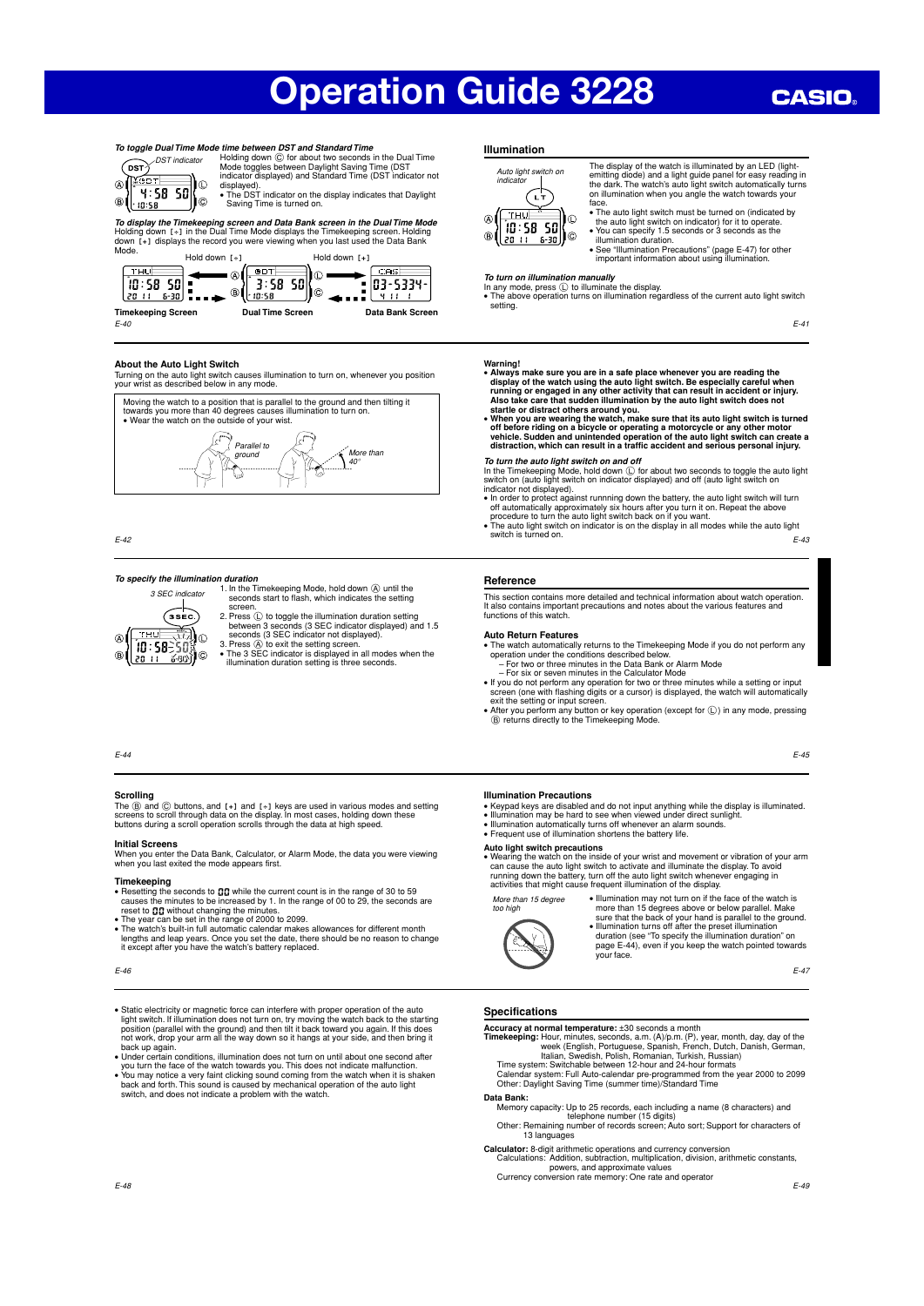

To toggle Dual Time Mode time between DST and Standard Time<br>
Holding down © for about two seconds in the Dual Time<br>
Mode toggles between Daylight Saving Time (DST<br>
Mode toggles between Daylight Saving Time (DST indicator n

displayed). • The DST indicator on the display indicates that Daylight Saving Time is turned on.

*To display the Timekeeping screen and Data Bank screen in the Dual Time Mode*<br>Holding down [-៖] in the Dual Time Mode displays the Timekeeping screen. Holding<br>down [-៖] displays the record you were viewing when you last



 $F-40$ 

## **About the Auto Light Switch**

Turning on the auto light switch causes illumination to turn on, whenever you position your wrist as described below in any mode.



E-42

**To specify the illumination duration**<br>
1. In the Timekeeping Mode, hold down  $\overline{\textcircled{S}}$  until the<br>
screen.<br>
screen.



- 2. Press  $\circledcirc$  to toggle the illumination duration setting<br>between 3 seconds (3 SEC indicator displayed) and 1.5<br>seconds (3 SEC indicator not displayed).<br>3. Press  $\circledcirc$  to exit the setting screen.<br>• The 3 SEC indicator i
- illumination duration setting is three seconds.

## E-44

## **Scrolling**

The ⑧ and ⓒ buttons, and [+] and [+] keys are used in various modes and setting<br>screens to scroll through data on the display. In most cases, holding down these<br>buttons during a scroll operation scrolls through the data at

**Initial Screens**<br>When you enter the Data Bank, Calculator, or Alarm Mode, the data you were viewing when you last exited the mode appears first.

- **Timekeeping**<br>
 Resetting the seconds to  $\mathbf{G}\mathbf{G}$  while the current count is in the range of 30 to 59<br>
 Causes the minutes to be increased by 1. In the range of 00 to 29, the seconds are<br>
 The year can be set in t
- 
- lengths and leap years. Once you set the date, there should be no reason to change cept after you have the watch's battery replaced.

- Static electricity or magnetic force can interfere with proper operation of the auto<br>light switch. If illumination does not turn on, try moving the watch back to the starting<br>position (parallel with the ground) and then
- back up again. Under certain conditions, illumination does not turn on until about one second after
- you turn the face of the watch towards you. This does not indicate malfunction.<br>• You may notice a very faint clicking sound coming from the watch when it is shaken<br>back and forth. This sound is caused by mechanical operat

## **Illumination**

120.11

Auto light switch on indicator  $\widehat{c_{r}}$ **THU** ١m  $[10:58:50]$ ⊚(اناد ا  $\bigoplus$ 

The display of the watch is illuminated by an LED (light-emitting diode) and a light guide panel for easy reading in the dark. The watch's auto light switch automatically turns on illumination when you angle the watch towards your<br>face

- face. The auto light switch must be turned on (indicated by the auto light switch on indicator) for it to operate. You can specify 1.5 seconds or 3 seconds as the
- illumination duration. See "Illumination Precautions" (page E-47) for other important information about using illumination.

**To turn on illumination manually**<br>In any mode, press ① to illuminate the display.<br>● The above operation turns on illumination regardless of the current auto light switch setting.

E-41

- Warning!<br>Warning and the watch using the auto light switch. Be especially careful then<br>display of the watch using the auto light switch. Be especially careful when<br>running or engaged in any other activity that can result i
- 

**To turn the auto light switch on and off**<br>In the Timekeeping Mode, hold down ① for about two seconds to toggle the auto light<br>switch on (auto light switch on indicator displayed) and off (auto light switch on

- indicator not displayed).<br>  $\bullet$  In order to protect against runnning down the battery, the auto light switch will turn<br>
off automatically approximately six hours after you turn it on. Repeat the above<br>
procedure to turn t
- E-43

### **Reference**

This section contains more detailed and technical information about watch operation. It also contains important precautions and notes about the various features and functions of this watch.

- **Auto Return Features** The watch automatically returns to the Timekeeping Mode if you do not perform any operation under the conditions described below.
- For two or three minutes in the Data Bank or Alarm Mode For six or seven minutes in the Calculator Mode
- If you do not perform any operation for two or three minutes while a setting or input<br>screen (one with flashing digits or a cursor) is displayed, the watch will automatically<br>exit the setting or input screen.<br>After you
- B returns directly to the Timekeeping Mode.

E-45

### **Illumination Precautions**

- Keypad keys are disabled and do not input anything while the display is illuminated.<br>• Illumination may be hard to see when viewed under direct sunlight.<br>• Illumination automatically turns off whenever an alarm sounds.<br>•
- 
- 
- 
- Auto light switch precautions<br>• Wearing the watch on the inside of your wrist and movement or vibration of your arm<br>can cause the auto light switch to activate and illuminate the display. To avoid<br>running down the battery, activities that might cause frequent illumination of the display.

More than 15 degree too high

• Illumination may not turn on if the face of the watch is<br>more than 15 degrees above or below parallel. Make<br>sure that the back of your hand is parallel to the ground.<br>• Illumination turns off after the preset illuminati



- - your face.

E-47

## **Specifications**

**Accuracy at normal temperature:** ±30 seconds a month

- Timekeeping: Hour, minutes, seconds, a.m. (A)/p.m. (P), year, month, day, day of the week (English, Portuguese, Spanish, Fench, Dutch, Danish, German, Italian, Swedish, Polish, Romanian, Turkish, Russian)<br>Time system: Swit
- 
- 

## **Data Bank:**

- Memory capacity: Up to 25 records, each including a name (8 characters) and telephone number (15 digits) Other: Remaining number of records screen; Auto sort; Support for characters of 13 languages
- **Calculator:** 8-digit arithmetic operations and currency conversion Calculations: Addition, subtraction, multiplication, division, arithmetic constants,

powers, and approximate values

Currency conversion rate memory: One rate and operator



E-46